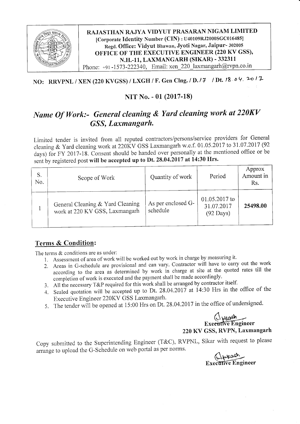

RAJASTHAN RAJYA VIDYUT PRASARAN NIGAM LIMITED [Corporate Identify Number (CIN) : U40109RJ2000SGC016485] Regd. Office: Vidyut Bhawan, Jyoti Nagar, Jaipur- 302005 OFFICE OF THE EXECUTIVE ENGINEER (220 KV GSS), N.H.-11, LAXMANGARH (STKAR) - 332311 Phone: +91-1573-222340, Email: xen 220 laxmangarh@rvpn.co.in

### NO: RRVPNL / XEN (220 KVGSS) / LXGH / F. Gen Clng. / D.  $/7$  / Dt.  $18.04$ ,  $2017$

#### NIT No. - 01 (2017-18)

#### Name Of Work:- General cleaning & Yard cleaning work at 220KV GSS, Laxmangarh.

Limited tender is invited from all reputed contractors/persons/service providers for General cleaning & Yard cleaning work at 220KV GSS Laxmangarh w.e.f. 01.05.2017 to 31.07.2017 (92 days) for FY 2017-18. Consent should be handed over personally at the mentioned office or be sent by registered post will be accepted up to Dt. 28.04.2017 at 14:30 Hrs.

| S.<br>No. | Scope of Work                                                      | Quantity of work               | Period                                             | Approx<br>Amount in<br>Rs. |
|-----------|--------------------------------------------------------------------|--------------------------------|----------------------------------------------------|----------------------------|
|           | General Cleaning & Yard Cleaning<br>work at 220 KV GSS, Laxmangarh | As per enclosed G-<br>schedule | 01.05.2017 to<br>31.07.2017<br>$(92 \text{ Days})$ | 25498.00                   |

#### Terms & Condition:

The terms  $&$  conditions are as under:

- 1 . Assessment of area of work will be worked out by work in charge by measuring it.
- 2. Areas in G-schedule are provisional and can vary. Contractor will have to carry out the work according to the area as determined by work in charge at site at the quoted rates till the completion of work is executed and the payment shall be made accordingly.
- 3. All the necessary  $T\&P$  required for this work shall be arranged by contractor itself.
- 4. Sealed quotation will be accepted up to Dt. 28.04.2017 at 14:30 Hrs in the office of the Executive Engineer 220Ky GSS Laxmangarh'
- 5. The tender will be opened at 15:00 Hrs on Dt. 28.04.2017 in the office of undersigned.

#### $A_{\text{black}}$ Exe<del>cutive E</del>ngineer 220 KY GSS, RVPN, Laxmangarh

Copy submitted to the Superintending Engineer (T&C), RVPNL, Sikar with request to please arrange to upload the G-Schedule on web portal as per norms.

Executive Engineer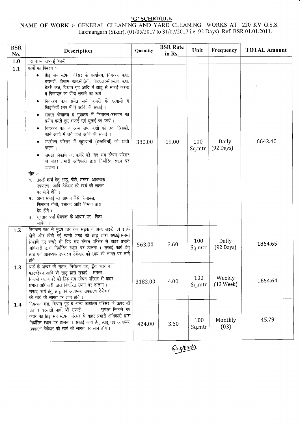# **SCHEDULE**<br>NAME OF WORK :- GENERAL CLEANING AND YARD CLEANING WORKS AT 220 KV G.S.S.<br>Laxmangarh (Sikar). (01/05/2017 to 31/07/2017 i.e. 92 Days) Ref. BSR 01.01.2011.

| <b>BSR</b><br>No. | Description                                                                                                                                                                                                                                                                                                                                                                                                                                                                                                                                                                                                                                                                                                                                                                                                                                                                                                                                            | Quantity | <b>BSR</b> Rate<br>in Rs. | Unit          | Frequency                     | <b>TOTAL Amount</b> |
|-------------------|--------------------------------------------------------------------------------------------------------------------------------------------------------------------------------------------------------------------------------------------------------------------------------------------------------------------------------------------------------------------------------------------------------------------------------------------------------------------------------------------------------------------------------------------------------------------------------------------------------------------------------------------------------------------------------------------------------------------------------------------------------------------------------------------------------------------------------------------------------------------------------------------------------------------------------------------------------|----------|---------------------------|---------------|-------------------------------|---------------------|
| 1.0               | सामान्य सफाई कार्य                                                                                                                                                                                                                                                                                                                                                                                                                                                                                                                                                                                                                                                                                                                                                                                                                                                                                                                                     |          |                           |               |                               |                     |
| 1.1               | कार्यो का विवरण :-<br>थ्रिड़ सब स्टेषन परिसर के कार्यालय, नियन्त्रण कक्ष,<br>बरामदों, विश्राम कक्ष,सीढ़ियाँ, पी०एल०सी०सी० कक्ष,<br>बैटरी कक्ष, विश्राम गृह आदि में झाडू से सफाई करना<br>व फिनायल का पोंछा लगाने का कार्य।<br>नियन्त्रण कक्ष समेत सभी कमरों के दरवाजों व<br>खिड़कियों (मय षीषे) आदि की सफाई।<br>समस्त षौचालय व मुत्रालय में फिनायल/रसायन का<br>प्रयोग करते हुए सफाई एवं धुलाई का कार्य।<br>नियन्त्रण कक्ष व अन्य सभी कक्षों की छत, खिड़की,<br>कोने आदि में लगे जाले आदि की सफाई।<br>उपरोक्त परिसर में कूड़ादानों (डस्टबिनों) को खाली<br>करना ।<br>समस्त निकाले गए कचरे को ग्रिड़ सब स्टेषन परिसर<br>से बाहर प्रभारी अधिकारी द्वारा निर्धारित स्थान पर<br>डालना ।<br>नोट :-<br>9. सफाई कार्य हेतु झाडू, पोंछे, डस्टर, आवष्यक<br>उपकरण आदि ठेकेदार को स्वयं की लागत<br>पर लाने होंगे।<br>२. अन्य सफाई का सामान जैसे फिनायल,<br>फिनायल गोली, रसायन आदि विभाग द्वारा<br>देय होंगे ।<br>३. भुगतान फर्श क्षेत्रफल के आधार पर किया<br>जायेगा । | 380.00   | 19.00                     | 100<br>Sq.mtr | Daily<br>$(92 \text{ Days})$  | 6642.40             |
| 1.2               | नियन्त्रण कक्ष से मुख्य द्वार तक सड़क व अन्य सड़कें एवं इनके<br>दोनों ओर छोड़ी गई खाली जगह की झाडू द्वारा सफाई।समस्त<br>निकाले गए कचरे को थ्रिड़ सब स्टेषन परिसर से बाहर प्रभारी<br>अधिकारी द्वारा निर्धारित स्थान पर डालना । सफाई कार्य हेतु<br>झाडू एवं आवष्यक उपकरण ठेकेदार को स्वयं की लागत पर लाने<br>होंगे ।                                                                                                                                                                                                                                                                                                                                                                                                                                                                                                                                                                                                                                     | 563.00   | 3.60                      | 100<br>Sq.mtr | Daily<br>$(92 \text{ Days})$  | 1864.65             |
| 1.3               | यार्ड के अन्दर की सड़क, निरीक्षण पथ, ट्रेंच कवर व<br>फाउण्डेषन आदि की झाडू द्वारा सफाई। समस्त<br>निकाले गए कचरे को प्रिड़ सब स्टेषन परिसर से बाहर<br>प्रभारी अधिकारी द्वारा निर्धारित स्थान पर डालना ।<br>सफाई कार्य हेतु झाडू एवं आवष्यक उपकरण ठेकेदार<br>को स्वयं की लागत पर लाने होंगे।                                                                                                                                                                                                                                                                                                                                                                                                                                                                                                                                                                                                                                                             | 3182.00  | 4.00                      | 100<br>Sq.mtr | Weekly<br>$(13 \text{ week})$ | 1654.64             |
| 1.4               | नियन्त्रण कक्ष, विश्राम गृह व अन्य कार्यालय परिसर के ऊपर की<br>छत व बरसाती नालों की सफाई ।<br>समस्त निकाले गए<br>कचरे को ग्रिड़ सब स्टेषन परिसर से बाहर प्रभारी अधिकारी द्वारा<br>निर्धारित स्थान पर डालना । सफाई कार्य हेतु झाडू एवं आवष्यक<br>उपकरण ठेकेदार को स्वयं की लागत पर लाने होंगे।                                                                                                                                                                                                                                                                                                                                                                                                                                                                                                                                                                                                                                                          | 424.00   | 3.60                      | 100<br>Sq.mtr | Monthly<br>(03)               | 45.79               |

Appares